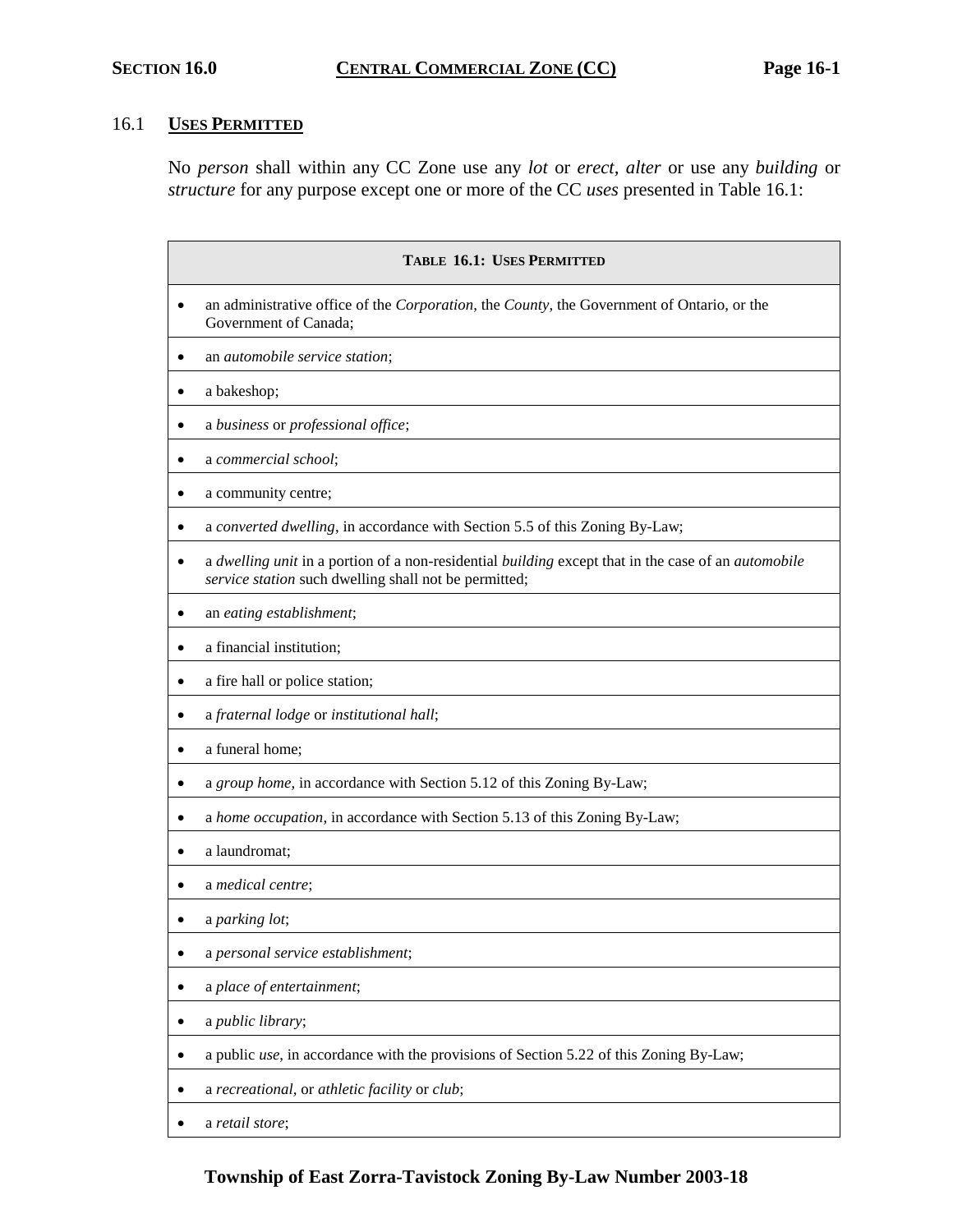# 16.1 **USES PERMITTED**

No *person* shall within any CC Zone use any *lot* or *erect, alter* or use any *building* or *structure* for any purpose except one or more of the CC *uses* presented in Table 16.1:

| <b>TABLE 16.1: USES PERMITTED</b>                                                                                                                                        |  |  |  |  |
|--------------------------------------------------------------------------------------------------------------------------------------------------------------------------|--|--|--|--|
| an administrative office of the <i>Corporation</i> , the <i>County</i> , the Government of Ontario, or the<br>Government of Canada;                                      |  |  |  |  |
| an automobile service station;                                                                                                                                           |  |  |  |  |
| a bakeshop;                                                                                                                                                              |  |  |  |  |
| a business or professional office;                                                                                                                                       |  |  |  |  |
| a commercial school;                                                                                                                                                     |  |  |  |  |
| a community centre;<br>٠                                                                                                                                                 |  |  |  |  |
| a converted dwelling, in accordance with Section 5.5 of this Zoning By-Law;                                                                                              |  |  |  |  |
| a dwelling unit in a portion of a non-residential building except that in the case of an <i>automobile</i><br>٠<br>service station such dwelling shall not be permitted; |  |  |  |  |
| an eating establishment;                                                                                                                                                 |  |  |  |  |
| a financial institution;                                                                                                                                                 |  |  |  |  |
| a fire hall or police station;<br>$\bullet$                                                                                                                              |  |  |  |  |
| a fraternal lodge or institutional hall;                                                                                                                                 |  |  |  |  |
| a funeral home;                                                                                                                                                          |  |  |  |  |
| a group home, in accordance with Section 5.12 of this Zoning By-Law;                                                                                                     |  |  |  |  |
| a home occupation, in accordance with Section 5.13 of this Zoning By-Law;                                                                                                |  |  |  |  |
| a laundromat;                                                                                                                                                            |  |  |  |  |
| a medical centre;                                                                                                                                                        |  |  |  |  |
| a parking lot;                                                                                                                                                           |  |  |  |  |
| a personal service establishment;                                                                                                                                        |  |  |  |  |
| a place of entertainment;                                                                                                                                                |  |  |  |  |
| a public library;                                                                                                                                                        |  |  |  |  |
| a public use, in accordance with the provisions of Section 5.22 of this Zoning By-Law;                                                                                   |  |  |  |  |
| a recreational, or athletic facility or club;                                                                                                                            |  |  |  |  |
| a retail store;                                                                                                                                                          |  |  |  |  |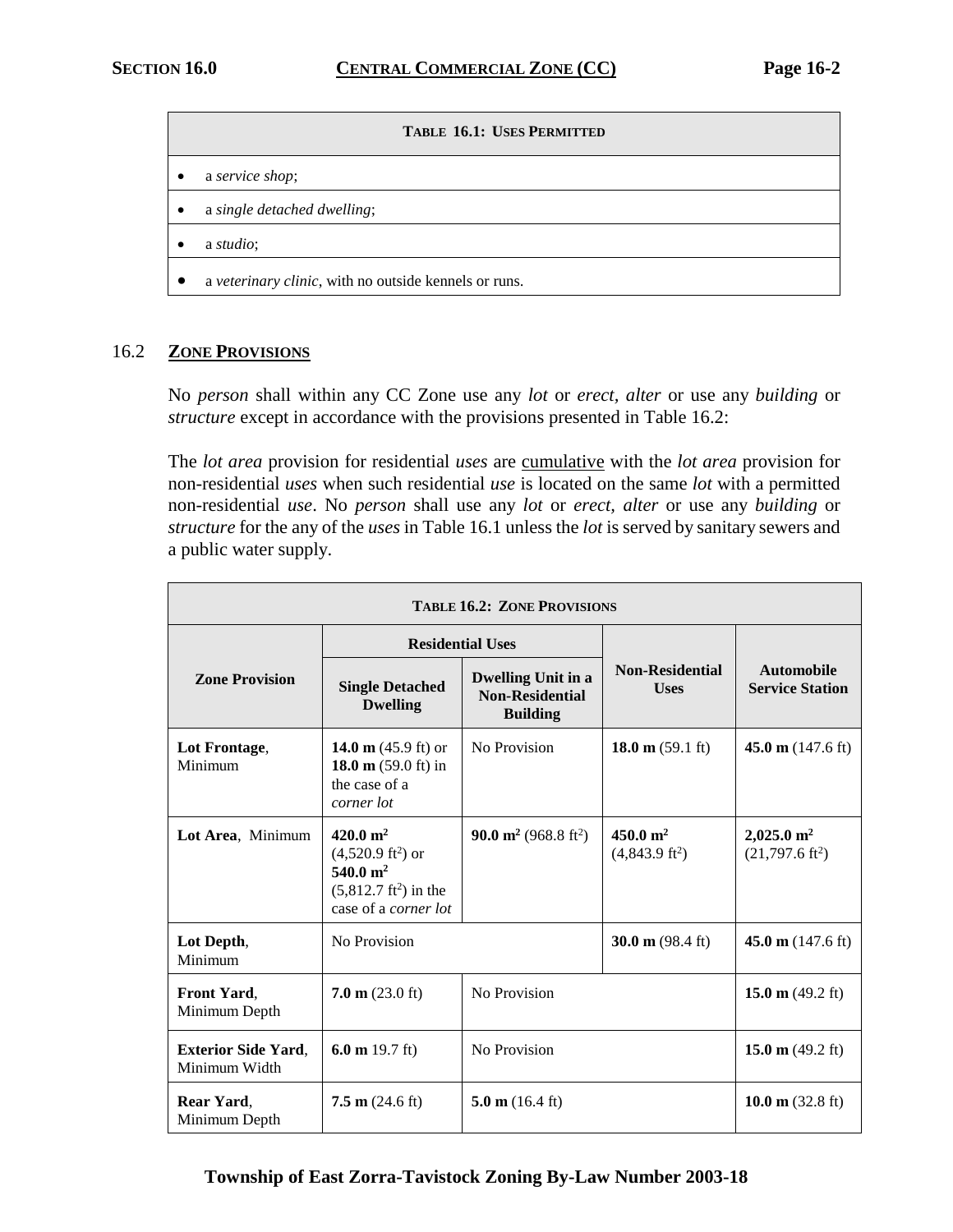#### $T$ **ABLE 16.1: USES PERMITTED**

- a *service shop*;
- a *single detached dwelling*;
- a *studio*;
- a *veterinary clinic*, with no outside kennels or runs.

## 16.2 **ZONE PROVISIONS**

No *person* shall within any CC Zone use any *lot* or *erect, alter* or use any *building* or *structure* except in accordance with the provisions presented in Table 16.2:

The *lot area* provision for residential *uses* are cumulative with the *lot area* provision for non-residential *uses* when such residential *use* is located on the same *lot* with a permitted non-residential *use*. No *person* shall use any *lot* or *erect, alter* or use any *building* or *structure* for the any of the *uses* in Table 16.1 unless the *lot* is served by sanitary sewers and a public water supply.

| <b>TABLE 16.2: ZONE PROVISIONS</b>          |                                                                                                                              |                                                                        |                                        |                                                    |  |
|---------------------------------------------|------------------------------------------------------------------------------------------------------------------------------|------------------------------------------------------------------------|----------------------------------------|----------------------------------------------------|--|
|                                             | <b>Residential Uses</b>                                                                                                      |                                                                        |                                        |                                                    |  |
| <b>Zone Provision</b>                       | <b>Single Detached</b><br><b>Dwelling</b>                                                                                    | <b>Dwelling Unit in a</b><br><b>Non-Residential</b><br><b>Building</b> | <b>Non-Residential</b><br><b>Uses</b>  | <b>Automobile</b><br><b>Service Station</b>        |  |
| Lot Frontage,<br>Minimum                    | 14.0 m $(45.9 \text{ ft})$ or<br>18.0 m $(59.0 \text{ ft})$ in<br>the case of a<br>corner lot                                | No Provision                                                           | 18.0 m $(59.1 \text{ ft})$             | 45.0 m $(147.6 \text{ ft})$                        |  |
| Lot Area, Minimum                           | $420.0 \text{ m}^2$<br>$(4,520.9 \text{ ft}^2)$ or<br>540.0 $m^2$<br>$(5,812.7 \text{ ft}^2)$ in the<br>case of a corner lot | <b>90.0 m<sup>2</sup></b> (968.8 ft <sup>2</sup> )                     | 450.0 $m2$<br>$(4,843.9 \text{ ft}^2)$ | $2,025.0 \text{ m}^2$<br>$(21,797.6 \text{ ft}^2)$ |  |
| Lot Depth,<br>Minimum                       | No Provision                                                                                                                 |                                                                        | 30.0 m $(98.4 \text{ ft})$             | 45.0 m $(147.6 \text{ ft})$                        |  |
| Front Yard,<br>Minimum Depth                | $7.0 \text{ m}$ (23.0 ft)                                                                                                    | No Provision                                                           |                                        | 15.0 m $(49.2 \text{ ft})$                         |  |
| <b>Exterior Side Yard,</b><br>Minimum Width | 6.0 m $19.7 \text{ ft}$ )                                                                                                    | No Provision                                                           |                                        | 15.0 m $(49.2 \text{ ft})$                         |  |
| Rear Yard,<br>Minimum Depth                 | $7.5 \text{ m}$ (24.6 ft)                                                                                                    | 5.0 m $(16.4 \text{ ft})$                                              |                                        | 10.0 m $(32.8 \text{ ft})$                         |  |

## **Township of East Zorra-Tavistock Zoning By-Law Number 2003-18**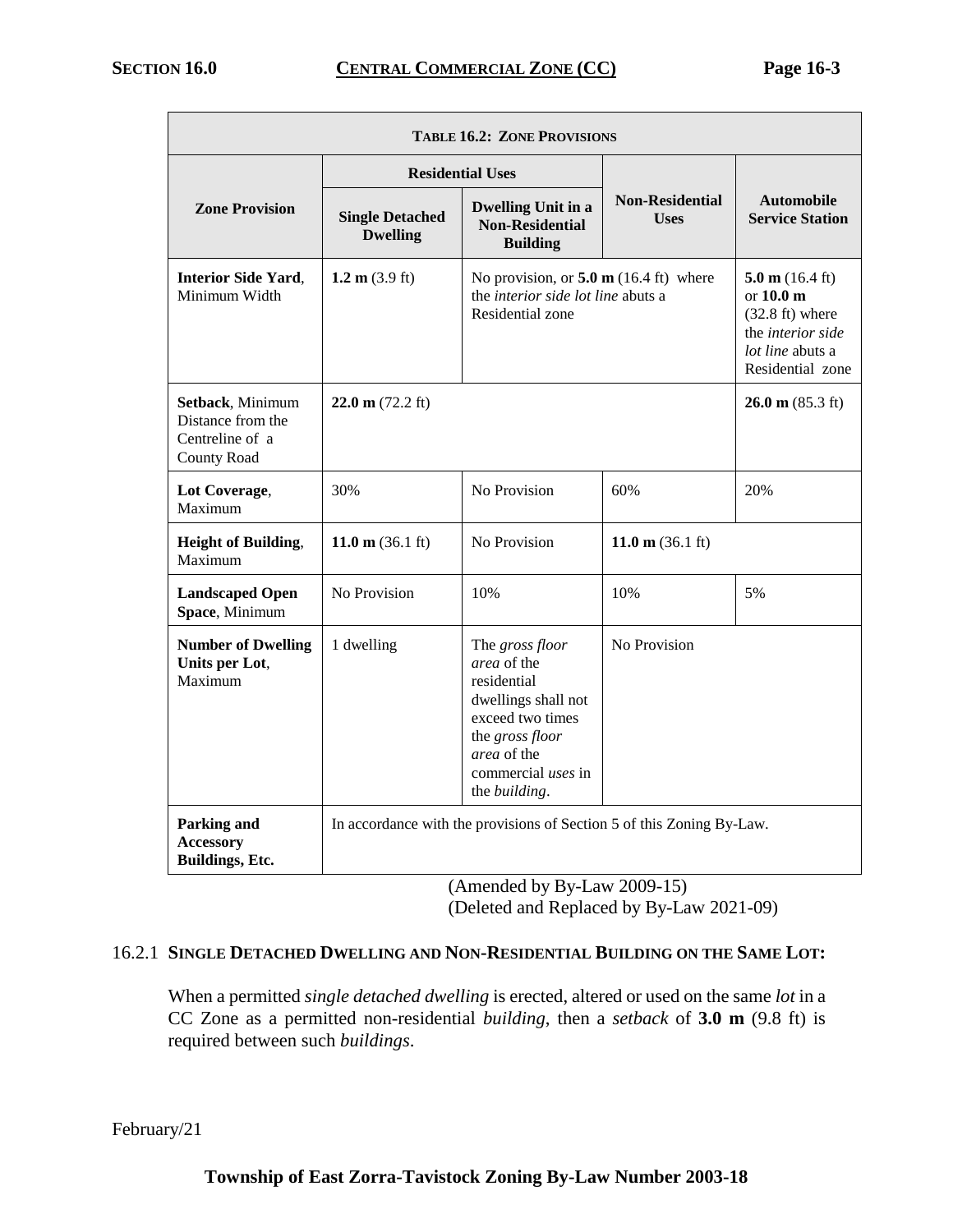| <b>TABLE 16.2: ZONE PROVISIONS</b>                                      |                                           |                                                                                                                                                                                  |                                       |                                                                                                                                   |  |  |
|-------------------------------------------------------------------------|-------------------------------------------|----------------------------------------------------------------------------------------------------------------------------------------------------------------------------------|---------------------------------------|-----------------------------------------------------------------------------------------------------------------------------------|--|--|
|                                                                         | <b>Residential Uses</b>                   |                                                                                                                                                                                  |                                       |                                                                                                                                   |  |  |
| <b>Zone Provision</b>                                                   | <b>Single Detached</b><br><b>Dwelling</b> | <b>Dwelling Unit in a</b><br><b>Non-Residential</b><br><b>Building</b>                                                                                                           | <b>Non-Residential</b><br><b>Uses</b> | <b>Automobile</b><br><b>Service Station</b>                                                                                       |  |  |
| <b>Interior Side Yard,</b><br>Minimum Width                             | 1.2 m $(3.9 \text{ ft})$                  | No provision, or $5.0 \text{ m}$ (16.4 ft) where<br>the <i>interior side lot line</i> abuts a<br>Residential zone                                                                |                                       | 5.0 m $(16.4 \text{ ft})$<br>or $10.0m$<br>$(32.8 \text{ ft})$ where<br>the interior side<br>lot line abuts a<br>Residential zone |  |  |
| Setback, Minimum<br>Distance from the<br>Centreline of a<br>County Road | $22.0 \text{ m}$ (72.2 ft)                |                                                                                                                                                                                  |                                       | $26.0 \text{ m} (85.3 \text{ ft})$                                                                                                |  |  |
| Lot Coverage,<br>Maximum                                                | 30%                                       | No Provision                                                                                                                                                                     | 60%                                   | 20%                                                                                                                               |  |  |
| <b>Height of Building,</b><br>Maximum                                   | 11.0 m $(36.1 \text{ ft})$                | No Provision                                                                                                                                                                     | 11.0 m $(36.1 \text{ ft})$            |                                                                                                                                   |  |  |
| <b>Landscaped Open</b><br>Space, Minimum                                | No Provision                              | 10%                                                                                                                                                                              | 10%                                   | 5%                                                                                                                                |  |  |
| <b>Number of Dwelling</b><br>Units per Lot,<br>Maximum                  | 1 dwelling                                | The gross floor<br>area of the<br>residential<br>dwellings shall not<br>exceed two times<br>the gross floor<br><i>area</i> of the<br>commercial uses in<br>the <i>building</i> . | No Provision                          |                                                                                                                                   |  |  |
| <b>Parking and</b><br><b>Accessory</b><br>Buildings, Etc.               |                                           | In accordance with the provisions of Section 5 of this Zoning By-Law.                                                                                                            |                                       |                                                                                                                                   |  |  |

(Amended by By-Law 2009-15) (Deleted and Replaced by By-Law 2021-09)

# 16.2.1 **SINGLE DETACHED DWELLING AND NON-RESIDENTIAL BUILDING ON THE SAME LOT:**

When a permitted *single detached dwelling* is erected, altered or used on the same *lot* in a CC Zone as a permitted non-residential *building*, then a *setback* of **3.0 m** (9.8 ft) is required between such *buildings*.

February/21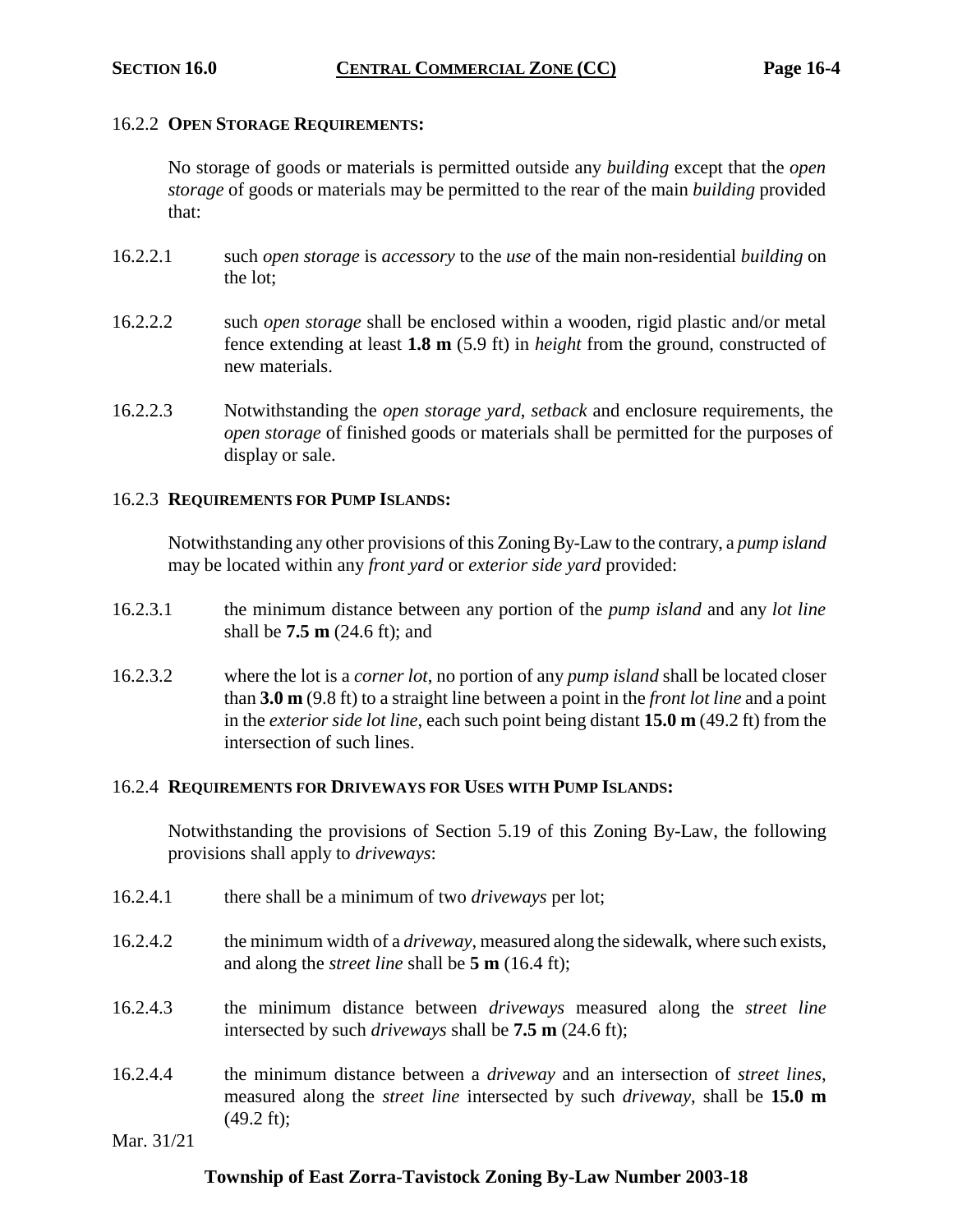#### 16.2.2 **OPEN STORAGE REQUIREMENTS:**

No storage of goods or materials is permitted outside any *building* except that the *open storage* of goods or materials may be permitted to the rear of the main *building* provided that:

- 16.2.2.1 such *open storage* is *accessory* to the *use* of the main non-residential *building* on the lot;
- 16.2.2.2 such *open storage* shall be enclosed within a wooden, rigid plastic and/or metal fence extending at least **1.8 m** (5.9 ft) in *height* from the ground, constructed of new materials.
- 16.2.2.3 Notwithstanding the *open storage yard*, *setback* and enclosure requirements, the *open storage* of finished goods or materials shall be permitted for the purposes of display or sale.

## 16.2.3 **REQUIREMENTS FOR PUMP ISLANDS:**

Notwithstanding any other provisions of this Zoning By-Law to the contrary, a *pump island* may be located within any *front yard* or *exterior side yard* provided:

- 16.2.3.1 the minimum distance between any portion of the *pump island* and any *lot line* shall be **7.5 m** (24.6 ft); and
- 16.2.3.2 where the lot is a *corner lot*, no portion of any *pump island* shall be located closer than **3.0 m** (9.8 ft) to a straight line between a point in the *front lot line* and a point in the *exterior side lot line*, each such point being distant **15.0 m** (49.2 ft) from the intersection of such lines.

## 16.2.4 **REQUIREMENTS FOR DRIVEWAYS FOR USES WITH PUMP ISLANDS:**

Notwithstanding the provisions of Section 5.19 of this Zoning By-Law, the following provisions shall apply to *driveways*:

- 16.2.4.1 there shall be a minimum of two *driveways* per lot;
- 16.2.4.2 the minimum width of a *driveway*, measured along the sidewalk, where such exists, and along the *street line* shall be **5 m** (16.4 ft);
- 16.2.4.3 the minimum distance between *driveways* measured along the *street line* intersected by such *driveways* shall be **7.5 m** (24.6 ft);
- 16.2.4.4 the minimum distance between a *driveway* and an intersection of *street lines*, measured along the *street line* intersected by such *driveway*, shall be **15.0 m** (49.2 ft);

Mar. 31/21

## **Township of East Zorra-Tavistock Zoning By-Law Number 2003-18**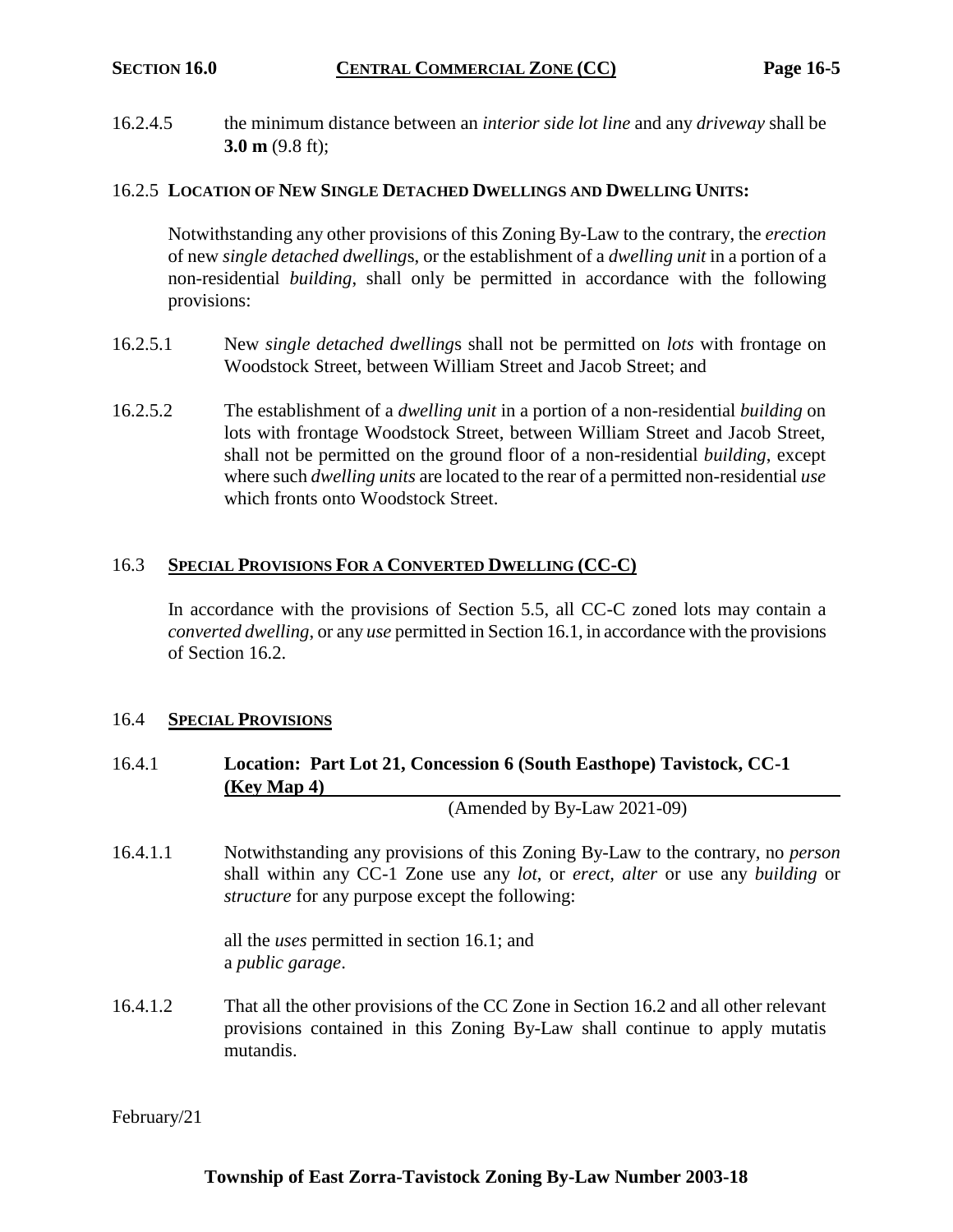16.2.4.5 the minimum distance between an *interior side lot line* and any *driveway* shall be **3.0 m** (9.8 ft);

## 16.2.5 **LOCATION OF NEW SINGLE DETACHED DWELLINGS AND DWELLING UNITS:**

Notwithstanding any other provisions of this Zoning By-Law to the contrary, the *erection* of new *single detached dwelling*s, or the establishment of a *dwelling unit* in a portion of a non-residential *building*, shall only be permitted in accordance with the following provisions:

- 16.2.5.1 New *single detached dwelling*s shall not be permitted on *lots* with frontage on Woodstock Street, between William Street and Jacob Street; and
- 16.2.5.2 The establishment of a *dwelling unit* in a portion of a non-residential *building* on lots with frontage Woodstock Street, between William Street and Jacob Street, shall not be permitted on the ground floor of a non-residential *building*, except where such *dwelling units* are located to the rear of a permitted non-residential *use* which fronts onto Woodstock Street.

## 16.3 **SPECIAL PROVISIONS FOR A CONVERTED DWELLING (CC-C)**

In accordance with the provisions of Section 5.5, all CC-C zoned lots may contain a *converted dwelling*, or any *use* permitted in Section 16.1, in accordance with the provisions of Section 16.2.

## 16.4 **SPECIAL PROVISIONS**

# 16.4.1 **Location: Part Lot 21, Concession 6 (South Easthope) Tavistock, CC-1 (Key Map 4)**

(Amended by By-Law 2021-09)

16.4.1.1 Notwithstanding any provisions of this Zoning By-Law to the contrary, no *person* shall within any CC-1 Zone use any *lot*, or *erect, alter* or use any *building* or *structure* for any purpose except the following:

> all the *uses* permitted in section 16.1; and a *public garage*.

16.4.1.2 That all the other provisions of the CC Zone in Section 16.2 and all other relevant provisions contained in this Zoning By-Law shall continue to apply mutatis mutandis.

February/21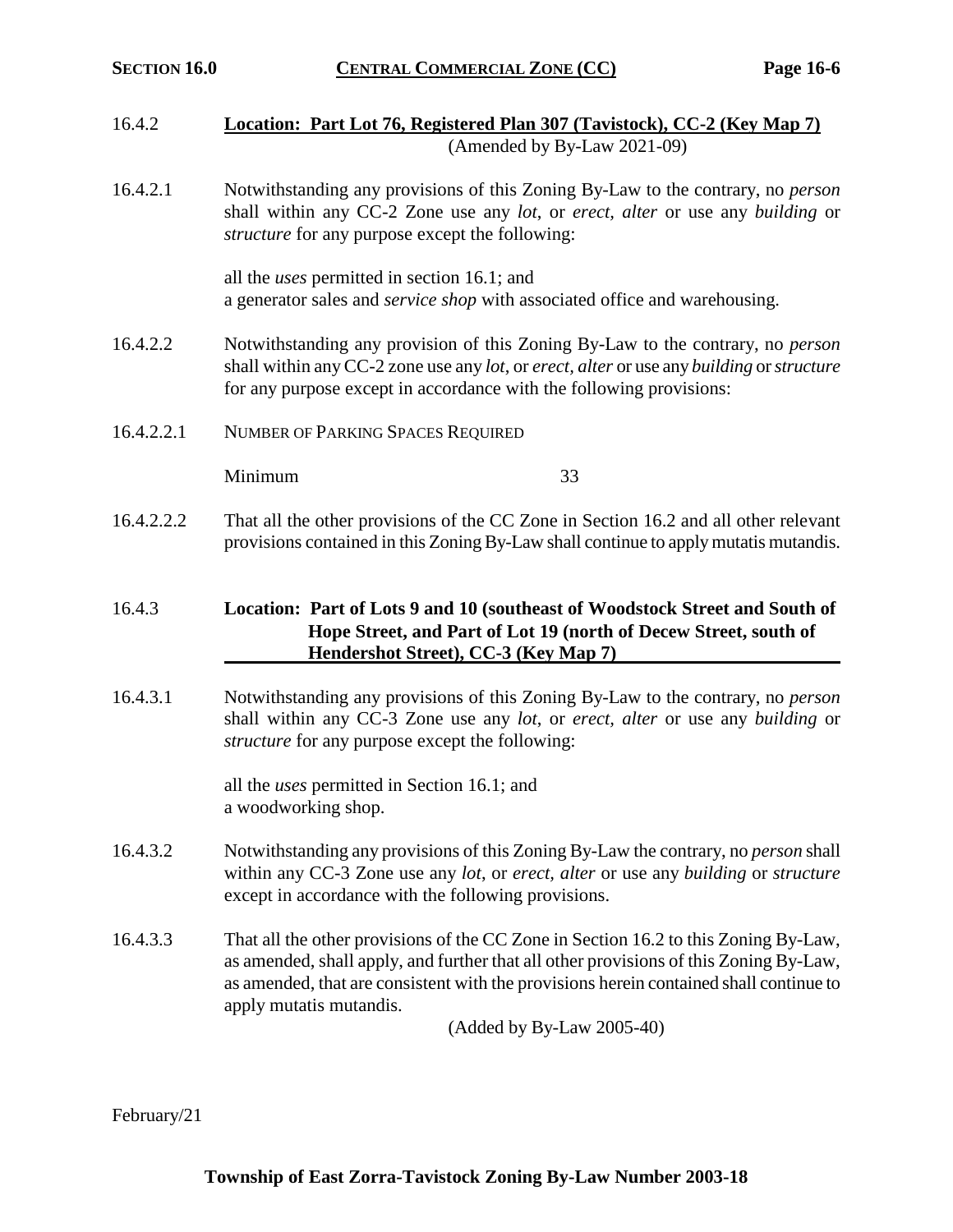- 16.4.2 **Location: Part Lot 76, Registered Plan 307 (Tavistock), CC-2 (Key Map 7)** (Amended by By-Law 2021-09)
- 16.4.2.1 Notwithstanding any provisions of this Zoning By-Law to the contrary, no *person* shall within any CC-2 Zone use any *lot*, or *erect, alter* or use any *building* or *structure* for any purpose except the following:

all the *uses* permitted in section 16.1; and a generator sales and *service shop* with associated office and warehousing.

- 16.4.2.2 Notwithstanding any provision of this Zoning By-Law to the contrary, no *person* shall within any CC-2 zone use any *lot*, or *erect, alter* or use any *building* or *structure*  for any purpose except in accordance with the following provisions:
- 16.4.2.2.1 NUMBER OF PARKING SPACES REQUIRED

Minimum 33

16.4.2.2.2 That all the other provisions of the CC Zone in Section 16.2 and all other relevant provisions contained in this Zoning By-Law shall continue to apply mutatis mutandis.

# 16.4.3 **Location: Part of Lots 9 and 10 (southeast of Woodstock Street and South of Hope Street, and Part of Lot 19 (north of Decew Street, south of Hendershot Street), CC-3 (Key Map 7)**

16.4.3.1 Notwithstanding any provisions of this Zoning By-Law to the contrary, no *person* shall within any CC-3 Zone use any *lot*, or *erect, alter* or use any *building* or *structure* for any purpose except the following:

> all the *uses* permitted in Section 16.1; and a woodworking shop.

- 16.4.3.2 Notwithstanding any provisions of this Zoning By-Law the contrary, no *person* shall within any CC-3 Zone use any *lot*, or *erect, alter* or use any *building* or *structure*  except in accordance with the following provisions.
- 16.4.3.3 That all the other provisions of the CC Zone in Section 16.2 to this Zoning By-Law, as amended, shall apply, and further that all other provisions of this Zoning By-Law, as amended, that are consistent with the provisions herein contained shall continue to apply mutatis mutandis.

(Added by By-Law 2005-40)

February/21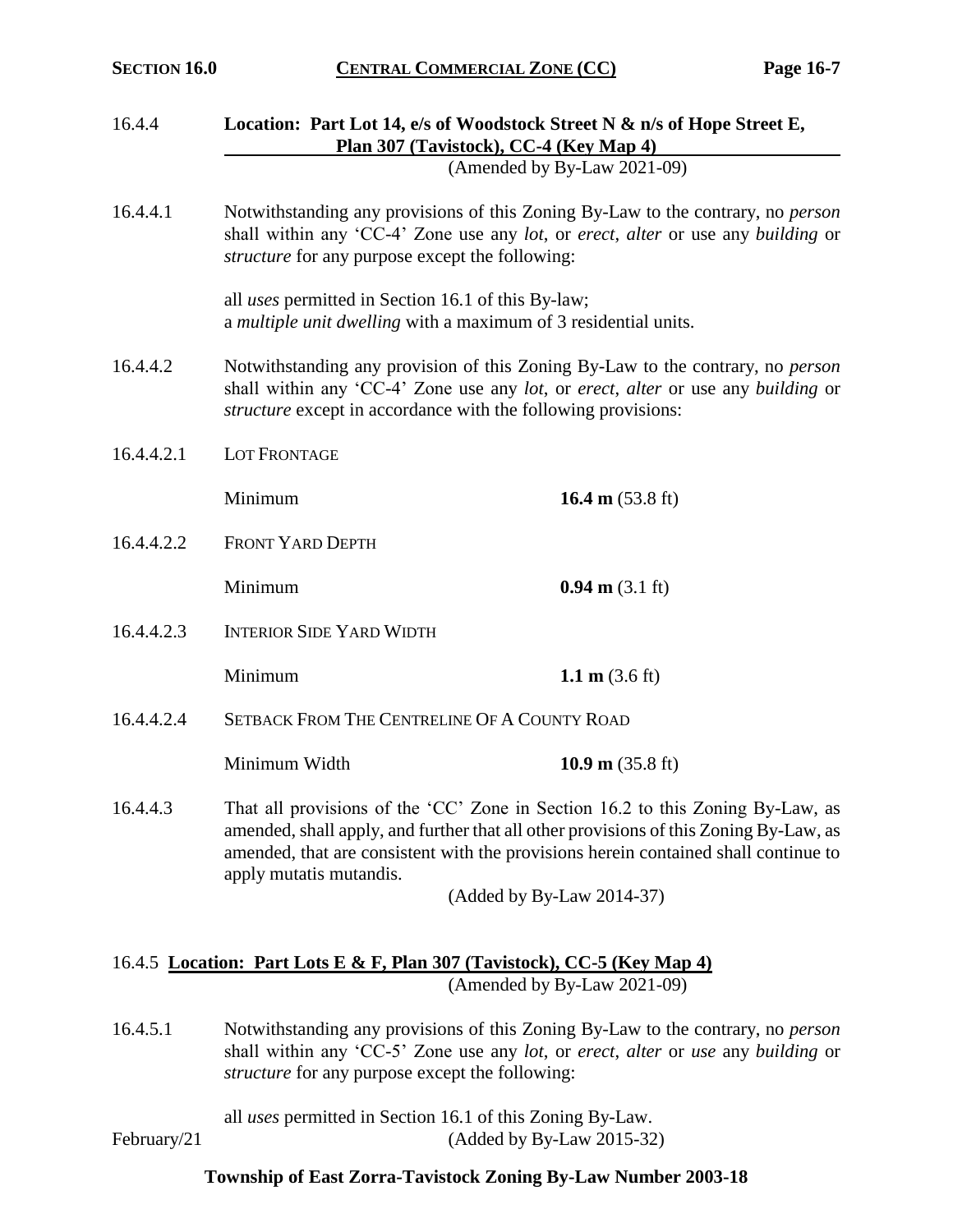| 16.4.4     |                                                                                                                                                                                                                                                                                           | Location: Part Lot 14, e/s of Woodstock Street N & n/s of Hope Street E,<br>Plan 307 (Tavistock), CC-4 (Key Map 4) |  |  |  |  |
|------------|-------------------------------------------------------------------------------------------------------------------------------------------------------------------------------------------------------------------------------------------------------------------------------------------|--------------------------------------------------------------------------------------------------------------------|--|--|--|--|
|            |                                                                                                                                                                                                                                                                                           | (Amended by By-Law 2021-09)                                                                                        |  |  |  |  |
| 16.4.4.1   | Notwithstanding any provisions of this Zoning By-Law to the contrary, no <i>person</i><br>shall within any 'CC-4' Zone use any lot, or erect, alter or use any building or<br>structure for any purpose except the following:                                                             |                                                                                                                    |  |  |  |  |
|            | all <i>uses</i> permitted in Section 16.1 of this By-law;<br>a multiple unit dwelling with a maximum of 3 residential units.                                                                                                                                                              |                                                                                                                    |  |  |  |  |
| 16.4.4.2   | Notwithstanding any provision of this Zoning By-Law to the contrary, no <i>person</i><br>shall within any 'CC-4' Zone use any lot, or erect, alter or use any building or<br><i>structure</i> except in accordance with the following provisions:                                         |                                                                                                                    |  |  |  |  |
| 16.4.4.2.1 | LOT FRONTAGE                                                                                                                                                                                                                                                                              |                                                                                                                    |  |  |  |  |
|            | Minimum                                                                                                                                                                                                                                                                                   | 16.4 m $(53.8 \text{ ft})$                                                                                         |  |  |  |  |
| 16.4.4.2.2 | <b>FRONT YARD DEPTH</b>                                                                                                                                                                                                                                                                   |                                                                                                                    |  |  |  |  |
|            | Minimum                                                                                                                                                                                                                                                                                   | $0.94 \text{ m} (3.1 \text{ ft})$                                                                                  |  |  |  |  |
| 16.4.4.2.3 |                                                                                                                                                                                                                                                                                           | <b>INTERIOR SIDE YARD WIDTH</b>                                                                                    |  |  |  |  |
|            | Minimum                                                                                                                                                                                                                                                                                   | 1.1 $m$ (3.6 ft)                                                                                                   |  |  |  |  |
| 16.4.4.2.4 | SETBACK FROM THE CENTRELINE OF A COUNTY ROAD                                                                                                                                                                                                                                              |                                                                                                                    |  |  |  |  |
|            | Minimum Width                                                                                                                                                                                                                                                                             | 10.9 m $(35.8 \text{ ft})$                                                                                         |  |  |  |  |
| 16.4.4.3   | That all provisions of the 'CC' Zone in Section 16.2 to this Zoning By-Law, as<br>amended, shall apply, and further that all other provisions of this Zoning By-Law, as<br>amended, that are consistent with the provisions herein contained shall continue to<br>apply mutatis mutandis. |                                                                                                                    |  |  |  |  |
|            |                                                                                                                                                                                                                                                                                           | (Added by By-Law 2014-37)                                                                                          |  |  |  |  |
|            |                                                                                                                                                                                                                                                                                           | 16.4.5 Location: Part Lots E & F, Plan 307 (Tavistock), CC-5 (Key Map 4)<br>(Amended by By-Law 2021-09)            |  |  |  |  |
| 16.4.5.1   | Notwithstanding any provisions of this Zoning By-Law to the contrary, no person<br>shall within any 'CC-5' Zone use any lot, or erect, alter or use any building or<br>structure for any purpose except the following:                                                                    |                                                                                                                    |  |  |  |  |

all *uses* permitted in Section 16.1 of this Zoning By-Law.

February/21 (Added by By-Law 2015-32)